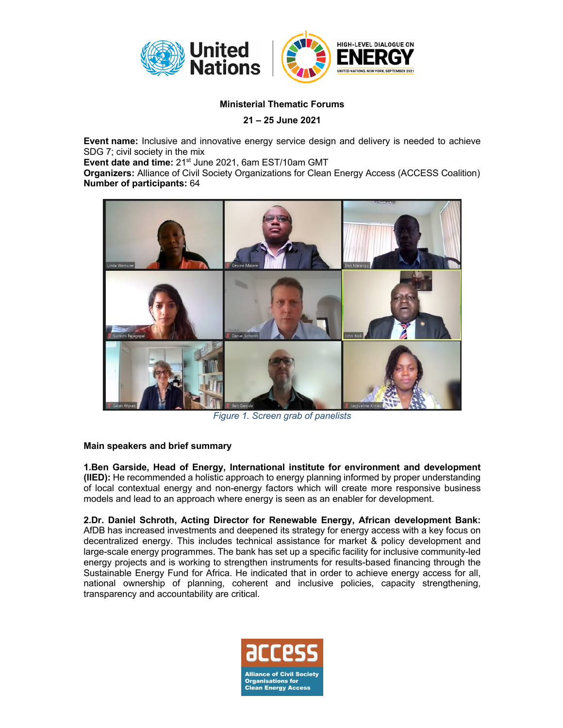

## **Ministerial Thematic Forums**

**21 – 25 June 2021**

**Event name:** Inclusive and innovative energy service design and delivery is needed to achieve SDG 7; civil society in the mix

**Event date and time:** 21st June 2021, 6am EST/10am GMT

**Organizers:** Alliance of Civil Society Organizations for Clean Energy Access (ACCESS Coalition) **Number of participants:** 64



*Figure 1. Screen grab of panelists*

## **Main speakers and brief summary**

**1.Ben Garside, Head of Energy, International institute for environment and development (IIED):** He recommended a holistic approach to energy planning informed by proper understanding of local contextual energy and non-energy factors which will create more responsive business models and lead to an approach where energy is seen as an enabler for development.

**2.Dr. Daniel Schroth, Acting Director for Renewable Energy, African development Bank:**  AfDB has increased investments and deepened its strategy for energy access with a key focus on decentralized energy. This includes technical assistance for market & policy development and large-scale energy programmes. The bank has set up a specific facility for inclusive community-led energy projects and is working to strengthen instruments for results-based financing through the Sustainable Energy Fund for Africa. He indicated that in order to achieve energy access for all, national ownership of planning, coherent and inclusive policies, capacity strengthening, transparency and accountability are critical.